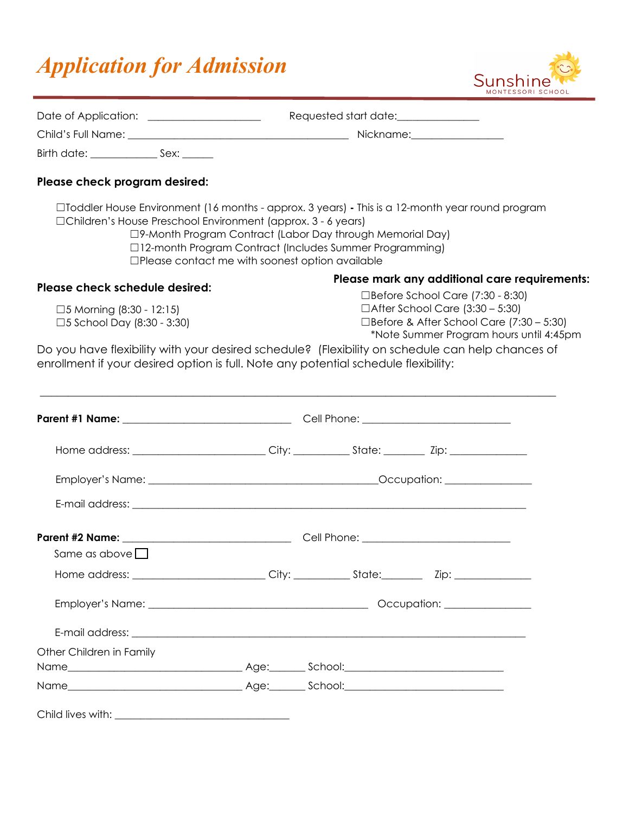## *Application for Admission*



| Date of Application: ___________________                                                                                                                                                |                                                        | Requested start date:_______________                                                                                                                                                                                             |  |  |
|-----------------------------------------------------------------------------------------------------------------------------------------------------------------------------------------|--------------------------------------------------------|----------------------------------------------------------------------------------------------------------------------------------------------------------------------------------------------------------------------------------|--|--|
|                                                                                                                                                                                         |                                                        |                                                                                                                                                                                                                                  |  |  |
| Birth date: ____________________ Sex: _______                                                                                                                                           |                                                        |                                                                                                                                                                                                                                  |  |  |
| Please check program desired:                                                                                                                                                           |                                                        |                                                                                                                                                                                                                                  |  |  |
| $\Box$ Toddler House Environment (16 months - approx. 3 years) - This is a 12-month year round program<br>□Children's House Preschool Environment (approx. 3 - 6 years)                 | $\Box$ Please contact me with soonest option available | □9-Month Program Contract (Labor Day through Memorial Day)<br>□12-month Program Contract (Includes Summer Programming)                                                                                                           |  |  |
| Please check schedule desired:                                                                                                                                                          |                                                        | Please mark any additional care requirements:<br>$\Box$ Before School Care (7:30 - 8:30)<br>$\Box$ After School Care (3:30 – 5:30)<br>$\Box$ Before & After School Care (7:30 – 5:30)<br>*Note Summer Program hours until 4:45pm |  |  |
| □5 Morning $(8:30 - 12:15)$<br>□5 School Day (8:30 - 3:30)                                                                                                                              |                                                        |                                                                                                                                                                                                                                  |  |  |
| Do you have flexibility with your desired schedule? (Flexibility on schedule can help chances of<br>enrollment if your desired option is full. Note any potential schedule flexibility: |                                                        |                                                                                                                                                                                                                                  |  |  |
|                                                                                                                                                                                         |                                                        |                                                                                                                                                                                                                                  |  |  |
|                                                                                                                                                                                         |                                                        |                                                                                                                                                                                                                                  |  |  |
|                                                                                                                                                                                         |                                                        |                                                                                                                                                                                                                                  |  |  |
|                                                                                                                                                                                         |                                                        |                                                                                                                                                                                                                                  |  |  |
| Same as above $\Box$                                                                                                                                                                    |                                                        |                                                                                                                                                                                                                                  |  |  |
|                                                                                                                                                                                         |                                                        |                                                                                                                                                                                                                                  |  |  |
|                                                                                                                                                                                         |                                                        |                                                                                                                                                                                                                                  |  |  |
|                                                                                                                                                                                         |                                                        |                                                                                                                                                                                                                                  |  |  |
| Other Children in Family                                                                                                                                                                |                                                        |                                                                                                                                                                                                                                  |  |  |
|                                                                                                                                                                                         |                                                        |                                                                                                                                                                                                                                  |  |  |
|                                                                                                                                                                                         |                                                        |                                                                                                                                                                                                                                  |  |  |
|                                                                                                                                                                                         |                                                        |                                                                                                                                                                                                                                  |  |  |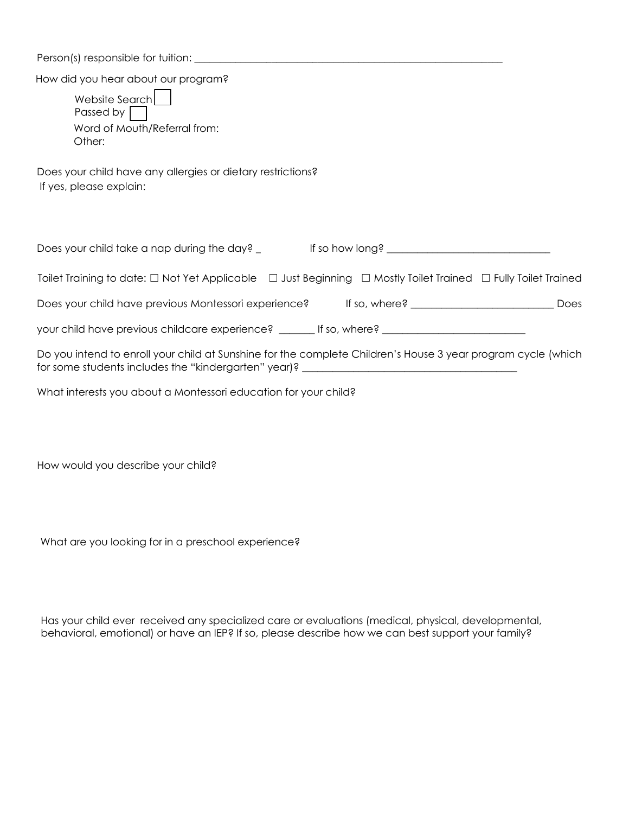Person(s) responsible for tuition: \_\_\_\_\_\_\_\_\_\_\_\_\_\_\_\_\_\_\_\_\_\_\_\_\_\_\_\_\_\_\_\_\_\_\_\_\_\_\_\_\_\_\_\_\_\_\_\_\_\_\_\_\_\_\_\_\_\_\_\_

How did you hear about our program?

| Website Search<br>Passed by                                                                                                                                                                      |
|--------------------------------------------------------------------------------------------------------------------------------------------------------------------------------------------------|
| Word of Mouth/Referral from:<br>Other:                                                                                                                                                           |
| Does your child have any allergies or dietary restrictions?<br>If yes, please explain:                                                                                                           |
| Does your child take a nap during the day? _ The state of the Mong? ___________________                                                                                                          |
| Toilet Training to date: $\Box$ Not Yet Applicable $\Box$ Just Beginning $\Box$ Mostly Toilet Trained $\Box$ Fully Toilet Trained                                                                |
| Does your child have previous Montessori experience? If so, where? ____________________<br>Does                                                                                                  |
| your child have previous childcare experience? ________ If so, where? _____________________________                                                                                              |
| Do you intend to enroll your child at Sunshine for the complete Children's House 3 year program cycle (which<br>for some students includes the "kindergarten" year)? ___________________________ |
| What interests you about a Montessori education for your child?                                                                                                                                  |

How would you describe your child?

What are you looking for in a preschool experience?

Has your child ever received any specialized care or evaluations (medical, physical, developmental, behavioral, emotional) or have an IEP? If so, please describe how we can best support your family?